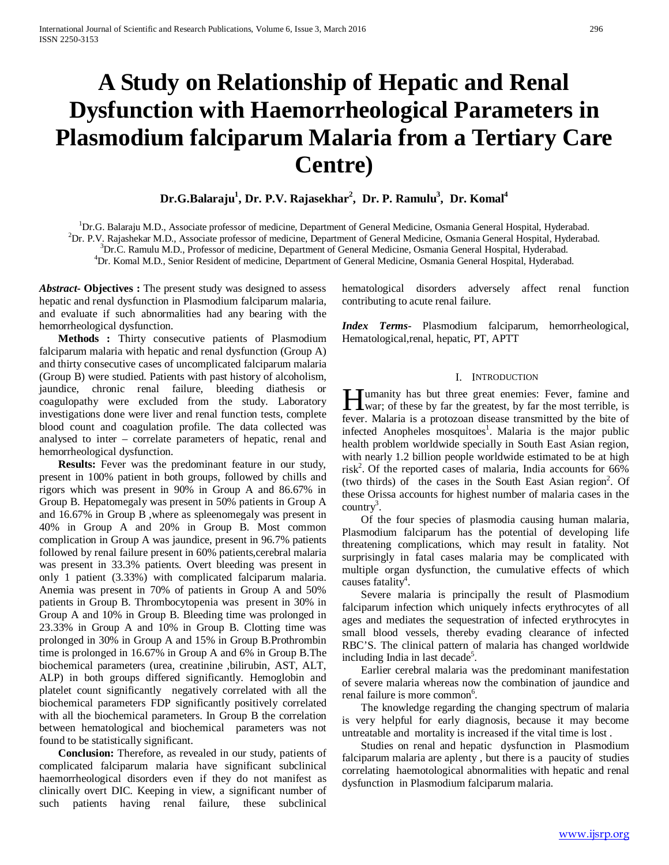# **A Study on Relationship of Hepatic and Renal Dysfunction with Haemorrheological Parameters in Plasmodium falciparum Malaria from a Tertiary Care Centre)**

**Dr.G.Balaraju1 , Dr. P.V. Rajasekhar2 , Dr. P. Ramulu3 , Dr. Komal4**

<sup>1</sup>Dr.G. Balaraju M.D., Associate professor of medicine, Department of General Medicine, Osmania General Hospital, Hyderabad. <sup>2</sup>Dr. B.V. Bajashbaker M.D., Associate professor of medicine, Department of General Medicine, O

<sup>2</sup>Dr. P.V. Rajashekar M.D., Associate professor of medicine, Department of General Medicine, Osmania General Hospital, Hyderabad.

 ${}^{3}Dr.C.$  Ramulu M.D., Professor of medicine, Department of General Medicine, Osmania General Hospital, Hyderabad.

<sup>4</sup>Dr. Komal M.D., Senior Resident of medicine, Department of General Medicine, Osmania General Hospital, Hyderabad.

*Abstract***- Objectives :** The present study was designed to assess hepatic and renal dysfunction in Plasmodium falciparum malaria, and evaluate if such abnormalities had any bearing with the hemorrheological dysfunction.

 **Methods :** Thirty consecutive patients of Plasmodium falciparum malaria with hepatic and renal dysfunction (Group A) and thirty consecutive cases of uncomplicated falciparum malaria (Group B) were studied. Patients with past history of alcoholism, jaundice, chronic renal failure, bleeding diathesis or coagulopathy were excluded from the study. Laboratory investigations done were liver and renal function tests, complete blood count and coagulation profile. The data collected was analysed to inter – correlate parameters of hepatic, renal and hemorrheological dysfunction.

 **Results:** Fever was the predominant feature in our study, present in 100% patient in both groups, followed by chills and rigors which was present in 90% in Group A and 86.67% in Group B. Hepatomegaly was present in 50% patients in Group A and 16.67% in Group B ,where as spleenomegaly was present in 40% in Group A and 20% in Group B. Most common complication in Group A was jaundice, present in 96.7% patients followed by renal failure present in 60% patients, cerebral malaria was present in 33.3% patients. Overt bleeding was present in only 1 patient (3.33%) with complicated falciparum malaria. Anemia was present in 70% of patients in Group A and 50% patients in Group B. Thrombocytopenia was present in 30% in Group A and 10% in Group B. Bleeding time was prolonged in 23.33% in Group A and 10% in Group B. Clotting time was prolonged in 30% in Group A and 15% in Group B.Prothrombin time is prolonged in 16.67% in Group A and 6% in Group B.The biochemical parameters (urea, creatinine ,bilirubin, AST, ALT, ALP) in both groups differed significantly. Hemoglobin and platelet count significantly negatively correlated with all the biochemical parameters FDP significantly positively correlated with all the biochemical parameters. In Group B the correlation between hematological and biochemical parameters was not found to be statistically significant.

 **Conclusion:** Therefore, as revealed in our study, patients of complicated falciparum malaria have significant subclinical haemorrheological disorders even if they do not manifest as clinically overt DIC. Keeping in view, a significant number of such patients having renal failure, these subclinical

hematological disorders adversely affect renal function contributing to acute renal failure.

*Index Terms*- Plasmodium falciparum, hemorrheological, Hematological,renal, hepatic, PT, APTT

## I. INTRODUCTION

umanity has but three great enemies: Fever, famine and **H** umanity has but three great enemies: Fever, famine and war; of these by far the greatest, by far the most terrible, is fever. Malaria is a protozoan disease transmitted by the bite of infected Anopheles mosquitoes<sup>1</sup>. Malaria is the major public health problem worldwide specially in South East Asian region, with nearly 1.2 billion people worldwide estimated to be at high  $risk<sup>2</sup>$ . Of the reported cases of malaria, India accounts for 66% (two thirds) of the cases in the South East Asian region<sup>2</sup>. Of these Orissa accounts for highest number of malaria cases in the  $\text{country}^3$ .

 Of the four species of plasmodia causing human malaria, Plasmodium falciparum has the potential of developing life threatening complications, which may result in fatality. Not surprisingly in fatal cases malaria may be complicated with multiple organ dysfunction, the cumulative effects of which causes fatality<sup>4</sup>.

 Severe malaria is principally the result of Plasmodium falciparum infection which uniquely infects erythrocytes of all ages and mediates the sequestration of infected erythrocytes in small blood vessels, thereby evading clearance of infected RBC'S. The clinical pattern of malaria has changed worldwide including India in last decade<sup>5</sup>.

 Earlier cerebral malaria was the predominant manifestation of severe malaria whereas now the combination of jaundice and renal failure is more common<sup>6</sup>.

 The knowledge regarding the changing spectrum of malaria is very helpful for early diagnosis, because it may become untreatable and mortality is increased if the vital time is lost .

 Studies on renal and hepatic dysfunction in Plasmodium falciparum malaria are aplenty , but there is a paucity of studies correlating haemotological abnormalities with hepatic and renal dysfunction in Plasmodium falciparum malaria.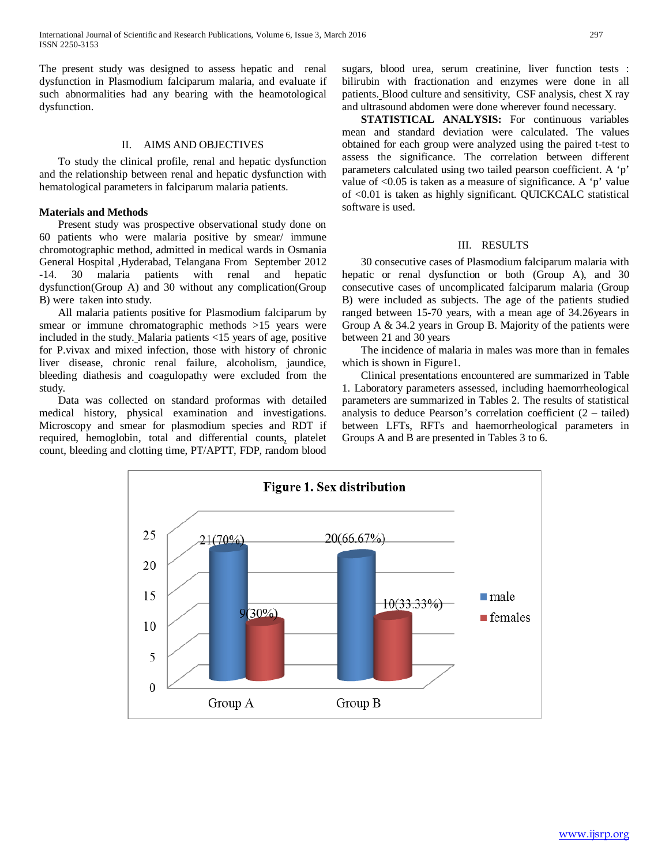The present study was designed to assess hepatic and renal dysfunction in Plasmodium falciparum malaria, and evaluate if such abnormalities had any bearing with the heamotological dysfunction.

# II. AIMS AND OBJECTIVES

 To study the clinical profile, renal and hepatic dysfunction and the relationship between renal and hepatic dysfunction with hematological parameters in falciparum malaria patients.

## **Materials and Methods**

 Present study was prospective observational study done on 60 patients who were malaria positive by smear/ immune chromotographic method, admitted in medical wards in Osmania General Hospital ,Hyderabad, Telangana From September 2012 -14. 30 malaria patients with renal and hepatic dysfunction(Group A) and 30 without any complication(Group B) were taken into study.

 All malaria patients positive for Plasmodium falciparum by smear or immune chromatographic methods >15 years were included in the study. Malaria patients <15 years of age, positive for P.vivax and mixed infection, those with history of chronic liver disease, chronic renal failure, alcoholism, jaundice, bleeding diathesis and coagulopathy were excluded from the study.

 Data was collected on standard proformas with detailed medical history, physical examination and investigations. Microscopy and smear for plasmodium species and RDT if required, hemoglobin, total and differential counts, platelet count, bleeding and clotting time, PT/APTT, FDP, random blood

sugars, blood urea, serum creatinine, liver function tests : bilirubin with fractionation and enzymes were done in all patients. Blood culture and sensitivity, CSF analysis, chest X ray and ultrasound abdomen were done wherever found necessary.

 **STATISTICAL ANALYSIS:** For continuous variables mean and standard deviation were calculated. The values obtained for each group were analyzed using the paired t-test to assess the significance. The correlation between different parameters calculated using two tailed pearson coefficient. A 'p' value of  $< 0.05$  is taken as a measure of significance. A 'p' value of <0.01 is taken as highly significant. QUICKCALC statistical software is used.

# III. RESULTS

 30 consecutive cases of Plasmodium falciparum malaria with hepatic or renal dysfunction or both (Group A), and 30 consecutive cases of uncomplicated falciparum malaria (Group B) were included as subjects. The age of the patients studied ranged between 15-70 years, with a mean age of 34.26years in Group A & 34.2 years in Group B. Majority of the patients were between 21 and 30 years

 The incidence of malaria in males was more than in females which is shown in Figure1.

 Clinical presentations encountered are summarized in Table 1. Laboratory parameters assessed, including haemorrheological parameters are summarized in Tables 2. The results of statistical analysis to deduce Pearson's correlation coefficient  $(2 - tailed)$ between LFTs, RFTs and haemorrheological parameters in Groups A and B are presented in Tables 3 to 6.

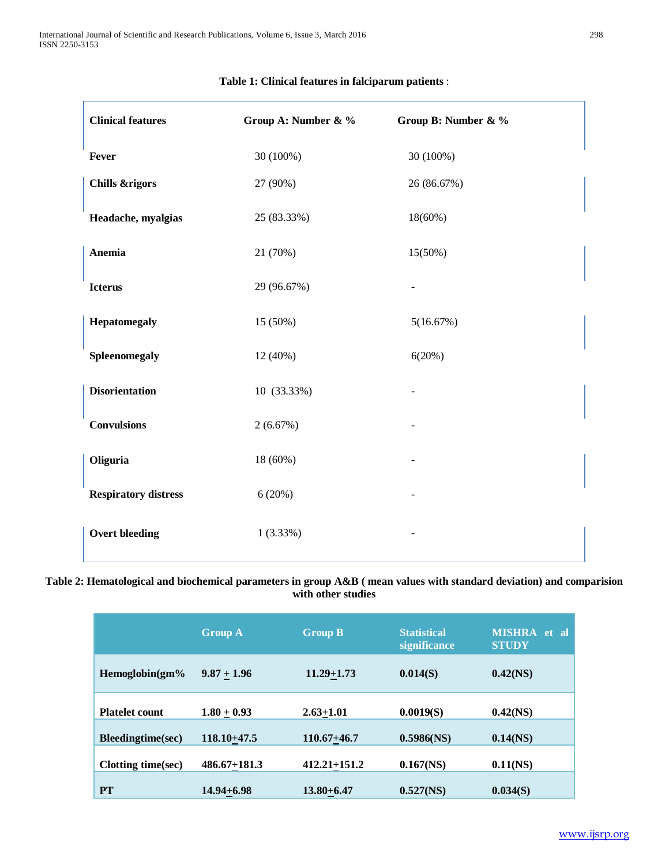| <b>Clinical features</b>    | Group A: Number & % | Group B: Number & % |
|-----------------------------|---------------------|---------------------|
| Fever                       | 30 (100%)           | 30 (100%)           |
| <b>Chills &amp;rigors</b>   | 27 (90%)            | 26 (86.67%)         |
| Headache, myalgias          | 25 (83.33%)         | 18(60%)             |
| Anemia                      | 21 (70%)            | 15(50%)             |
| <b>Icterus</b>              | 29 (96.67%)         |                     |
| Hepatomegaly                | 15 (50%)            | 5(16.67%)           |
| Spleenomegaly               | 12 (40%)            | 6(20%)              |
| <b>Disorientation</b>       | 10 (33.33%)         |                     |
| <b>Convulsions</b>          | 2(6.67%)            |                     |
| Oliguria                    | 18 (60%)            |                     |
| <b>Respiratory distress</b> | 6(20%)              |                     |
| <b>Overt bleeding</b>       | 1(3.33%)            |                     |

# **Table 1: Clinical features in falciparum patients** :

**Table 2: Hematological and biochemical parameters in group A&B ( mean values with standard deviation) and comparision with other studies**

|                       | <b>Group A</b>   | <b>Group B</b>   | <b>Statistical</b><br>significance | <b>MISHRA</b><br>et al<br><b>STUDY</b> |
|-----------------------|------------------|------------------|------------------------------------|----------------------------------------|
| Hemoglobin(gm%        | $9.87 + 1.96$    | $11.29 + 1.73$   | 0.014(S)                           | $0.42$ (NS)                            |
| <b>Platelet count</b> | $1.80 + 0.93$    | $2.63 + 1.01$    | 0.0019(S)                          | $0.42$ (NS)                            |
| Bleedingtime(sec)     | $118.10 + 47.5$  | $110.67 + 46.7$  | $0.5986$ (NS)                      | $0.14$ (NS)                            |
| Clotting time(sec)    | $486.67 + 181.3$ | $412.21 + 151.2$ | $0.167$ (NS)                       | $0.11$ (NS)                            |
| <b>PT</b>             | $14.94 + 6.98$   | $13.80 + 6.47$   | 0.527(NS)                          | 0.034(S)                               |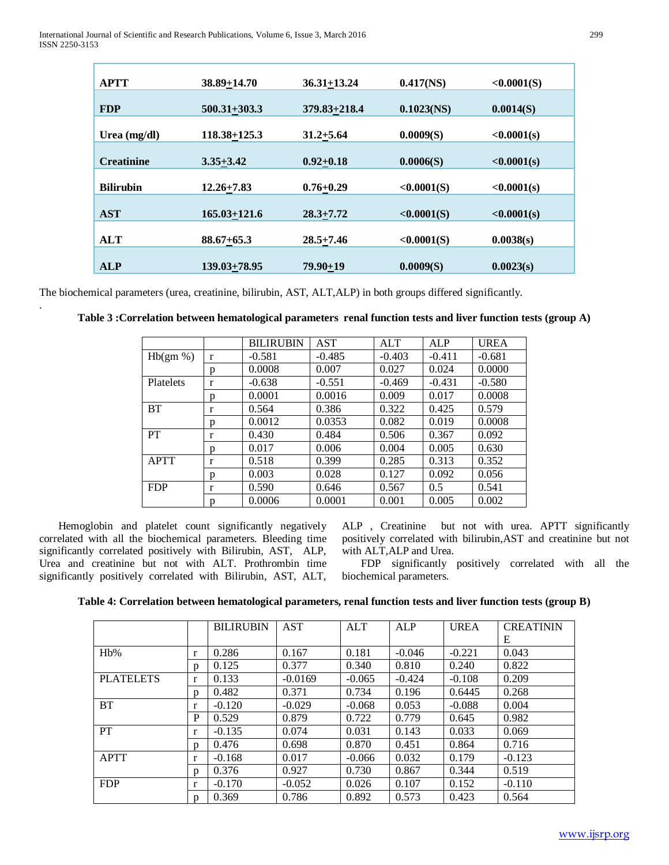| <b>APTT</b>       | 38.89+14.70      | $36.31 + 13.24$ | $0.417$ (NS)  | <0.0001(S)  |
|-------------------|------------------|-----------------|---------------|-------------|
| <b>FDP</b>        | $500.31 + 303.3$ | 379.83+218.4    | $0.1023$ (NS) | 0.0014(S)   |
| Urea $(mg/dl)$    | 118.38+125.3     | $31.2 + 5.64$   | 0.0009(S)     | < 0.0001(s) |
|                   |                  |                 |               |             |
| <b>Creatinine</b> | $3.35 + 3.42$    | $0.92 + 0.18$   | 0.0006(S)     | < 0.0001(s) |
| <b>Bilirubin</b>  | $12.26 + 7.83$   | $0.76 + 0.29$   | <0.0001(S)    | <0.0001(s)  |
| <b>AST</b>        | $165.03 + 121.6$ | $28.3 + 7.72$   | < 0.0001(S)   | < 0.0001(s) |
| <b>ALT</b>        | $88.67 + 65.3$   | $28.5 + 7.46$   | <0.0001(S)    | 0.0038(s)   |
| <b>ALP</b>        | 139.03+78.95     | $79.90 + 19$    | 0.0009(S)     | 0.0023(s)   |

The biochemical parameters (urea, creatinine, bilirubin, AST, ALT,ALP) in both groups differed significantly.

|             |   | <b>BILIRUBIN</b> | AST      | <b>ALT</b> | <b>ALP</b> | <b>UREA</b> |
|-------------|---|------------------|----------|------------|------------|-------------|
| Hb(gm %)    | r | $-0.581$         | $-0.485$ | $-0.403$   | $-0.411$   | $-0.681$    |
|             | p | 0.0008           | 0.007    | 0.027      | 0.024      | 0.0000      |
| Platelets   | r | $-0.638$         | $-0.551$ | $-0.469$   | $-0.431$   | $-0.580$    |
|             | p | 0.0001           | 0.0016   | 0.009      | 0.017      | 0.0008      |
| <b>BT</b>   | r | 0.564            | 0.386    | 0.322      | 0.425      | 0.579       |
|             | p | 0.0012           | 0.0353   | 0.082      | 0.019      | 0.0008      |
| <b>PT</b>   | r | 0.430            | 0.484    | 0.506      | 0.367      | 0.092       |
|             | p | 0.017            | 0.006    | 0.004      | 0.005      | 0.630       |
| <b>APTT</b> | r | 0.518            | 0.399    | 0.285      | 0.313      | 0.352       |
|             | р | 0.003            | 0.028    | 0.127      | 0.092      | 0.056       |
| <b>FDP</b>  | r | 0.590            | 0.646    | 0.567      | 0.5        | 0.541       |
|             | p | 0.0006           | 0.0001   | 0.001      | 0.005      | 0.002       |

|  | Table 3 :Correlation between hematological parameters renal function tests and liver function tests (group A) |
|--|---------------------------------------------------------------------------------------------------------------|
|--|---------------------------------------------------------------------------------------------------------------|

 Hemoglobin and platelet count significantly negatively correlated with all the biochemical parameters. Bleeding time significantly correlated positively with Bilirubin, AST, ALP, Urea and creatinine but not with ALT. Prothrombin time significantly positively correlated with Bilirubin, AST, ALT,

.

ALP , Creatinine but not with urea. APTT significantly positively correlated with bilirubin,AST and creatinine but not with ALT,ALP and Urea.

 FDP significantly positively correlated with all the biochemical parameters.

| Table 4: Correlation between hematological parameters, renal function tests and liver function tests (group B) |  |  |
|----------------------------------------------------------------------------------------------------------------|--|--|
|                                                                                                                |  |  |

|                  |              | <b>BILIRUBIN</b> | AST       | <b>ALT</b> | ALP      | <b>UREA</b> | <b>CREATININ</b> |
|------------------|--------------|------------------|-----------|------------|----------|-------------|------------------|
|                  |              |                  |           |            |          |             | E                |
| $Hb\%$           | r            | 0.286            | 0.167     | 0.181      | $-0.046$ | $-0.221$    | 0.043            |
|                  | D            | 0.125            | 0.377     | 0.340      | 0.810    | 0.240       | 0.822            |
| <b>PLATELETS</b> | r            | 0.133            | $-0.0169$ | $-0.065$   | $-0.424$ | $-0.108$    | 0.209            |
|                  | D            | 0.482            | 0.371     | 0.734      | 0.196    | 0.6445      | 0.268            |
| <b>BT</b>        | r            | $-0.120$         | $-0.029$  | $-0.068$   | 0.053    | $-0.088$    | 0.004            |
|                  | P            | 0.529            | 0.879     | 0.722      | 0.779    | 0.645       | 0.982            |
| <b>PT</b>        | r            | $-0.135$         | 0.074     | 0.031      | 0.143    | 0.033       | 0.069            |
|                  | $\mathbf{D}$ | 0.476            | 0.698     | 0.870      | 0.451    | 0.864       | 0.716            |
| <b>APTT</b>      | r            | $-0.168$         | 0.017     | $-0.066$   | 0.032    | 0.179       | $-0.123$         |
|                  | $\mathbf{D}$ | 0.376            | 0.927     | 0.730      | 0.867    | 0.344       | 0.519            |
| <b>FDP</b>       | r            | $-0.170$         | $-0.052$  | 0.026      | 0.107    | 0.152       | $-0.110$         |
|                  | p            | 0.369            | 0.786     | 0.892      | 0.573    | 0.423       | 0.564            |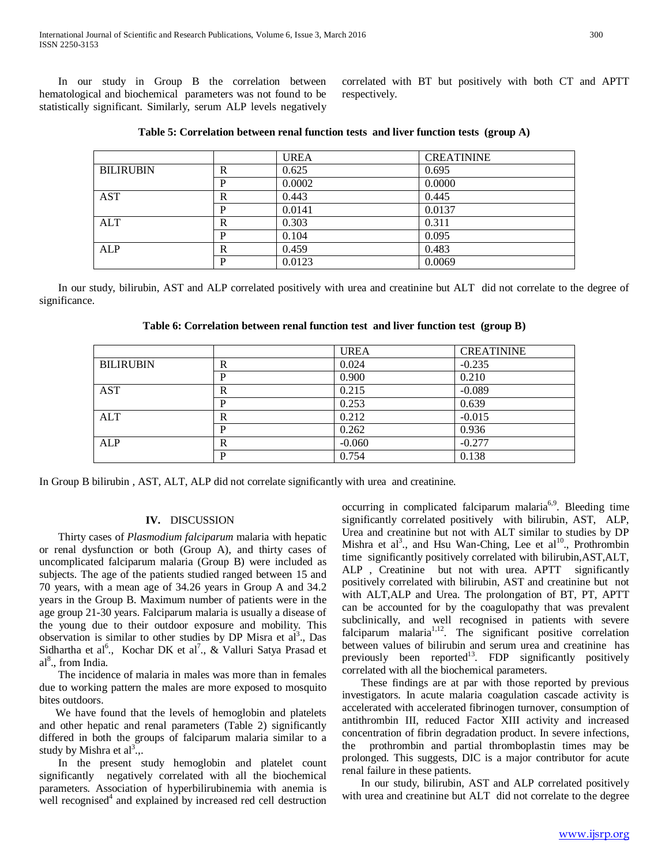In our study in Group B the correlation between hematological and biochemical parameters was not found to be statistically significant. Similarly, serum ALP levels negatively

correlated with BT but positively with both CT and APTT respectively.

|                  |   | <b>UREA</b> | <b>CREATININE</b> |
|------------------|---|-------------|-------------------|
| <b>BILIRUBIN</b> | R | 0.625       | 0.695             |
|                  | D | 0.0002      | 0.0000            |
| AST              | R | 0.443       | 0.445             |
|                  | D | 0.0141      | 0.0137            |
| ALT              | R | 0.303       | 0.311             |
|                  | D | 0.104       | 0.095             |
| ALP              | R | 0.459       | 0.483             |
|                  | D | 0.0123      | 0.0069            |

| Table 5: Correlation between renal function tests and liver function tests (group $A$ ) |
|-----------------------------------------------------------------------------------------|
|-----------------------------------------------------------------------------------------|

 In our study, bilirubin, AST and ALP correlated positively with urea and creatinine but ALT did not correlate to the degree of significance.

**Table 6: Correlation between renal function test and liver function test (group B)**

|                  |   | <b>UREA</b> | <b>CREATININE</b> |
|------------------|---|-------------|-------------------|
| <b>BILIRUBIN</b> | R | 0.024       | $-0.235$          |
|                  | P | 0.900       | 0.210             |
| <b>AST</b>       | R | 0.215       | $-0.089$          |
|                  | P | 0.253       | 0.639             |
| ALT              | R | 0.212       | $-0.015$          |
|                  | P | 0.262       | 0.936             |
| ALP              | R | $-0.060$    | $-0.277$          |
|                  | P | 0.754       | 0.138             |

In Group B bilirubin , AST, ALT, ALP did not correlate significantly with urea and creatinine.

## **IV.** DISCUSSION

 Thirty cases of *Plasmodium falciparum* malaria with hepatic or renal dysfunction or both (Group A), and thirty cases of uncomplicated falciparum malaria (Group B) were included as subjects. The age of the patients studied ranged between 15 and 70 years, with a mean age of 34.26 years in Group A and 34.2 years in the Group B. Maximum number of patients were in the age group 21-30 years. Falciparum malaria is usually a disease of the young due to their outdoor exposure and mobility. This observation is similar to other studies by DP Misra et  $al^3$ ., Das Sidhartha et al<sup>6</sup>., Kochar DK et al<sup>7</sup>., & Valluri Satya Prasad et al<sup>8</sup>., from India.

 The incidence of malaria in males was more than in females due to working pattern the males are more exposed to mosquito bites outdoors.

We have found that the levels of hemoglobin and platelets and other hepatic and renal parameters (Table 2) significantly differed in both the groups of falciparum malaria similar to a study by Mishra et  $al^3$ .

 In the present study hemoglobin and platelet count significantly negatively correlated with all the biochemical parameters. Association of hyperbilirubinemia with anemia is well recognised<sup>4</sup> and explained by increased red cell destruction occurring in complicated falciparum malaria<sup>6,9</sup>. Bleeding time significantly correlated positively with bilirubin, AST, ALP, Urea and creatinine but not with ALT similar to studies by DP Mishra et al<sup>3</sup>., and Hsu Wan-Ching, Lee et al<sup>10</sup>., Prothrombin time significantly positively correlated with bilirubin,AST,ALT, ALP , Creatinine but not with urea. APTT significantly positively correlated with bilirubin, AST and creatinine but not with ALT,ALP and Urea. The prolongation of BT, PT, APTT can be accounted for by the coagulopathy that was prevalent subclinically, and well recognised in patients with severe falciparum malaria $1,12$ . The significant positive correlation between values of bilirubin and serum urea and creatinine has previously been reported<sup>13</sup>. FDP significantly positively correlated with all the biochemical parameters.

 These findings are at par with those reported by previous investigators. In acute malaria coagulation cascade activity is accelerated with accelerated fibrinogen turnover, consumption of antithrombin III, reduced Factor XIII activity and increased concentration of fibrin degradation product. In severe infections, the prothrombin and partial thromboplastin times may be prolonged. This suggests, DIC is a major contributor for acute renal failure in these patients.

 In our study, bilirubin, AST and ALP correlated positively with urea and creatinine but ALT did not correlate to the degree